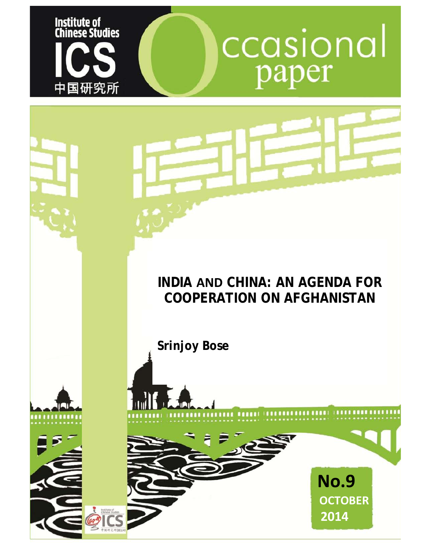

# ccasional paper

# **INDIA AND CHINA: AN AGENDA FOR COOPERATION ON AFGHANISTAN**

**Srinjoy Bose**

**ANTE LA CAP** 





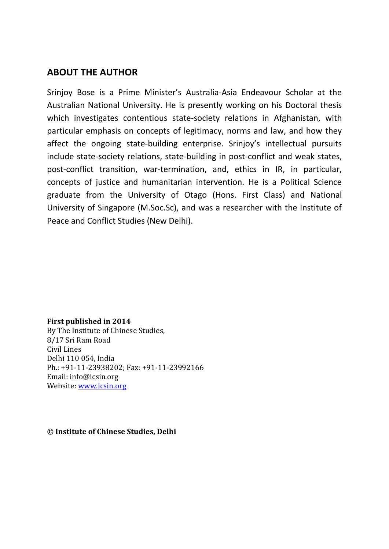### **ABOUT THE AUTHOR**

Srinjoy Bose is a Prime Minister's Australia-Asia Endeavour Scholar at the Australian National University. He is presently working on his Doctoral thesis which investigates contentious state-society relations in Afghanistan, with particular emphasis on concepts of legitimacy, norms and law, and how they affect the ongoing state-building enterprise. Srinjoy's intellectual pursuits include state-society relations, state-building in post-conflict and weak states, post-conflict transition, war-termination, and, ethics in IR, in particular, concepts of justice and humanitarian intervention. He is a Political Science graduate from the University of Otago (Hons. First Class) and National University of Singapore (M.Soc.Sc), and was a researcher with the Institute of Peace and Conflict Studies (New Delhi).

#### **First published in 2014**

By The Institute of Chinese Studies, 8/17 Sri Ram Road Civil Lines Delhi 110 054, India Ph.: +91-11-23938202; Fax: +91-11-23992166 Email: info@icsin.org Website[: www.icsin.org](http://www.icsin.org/)

**© Institute of Chinese Studies, Delhi**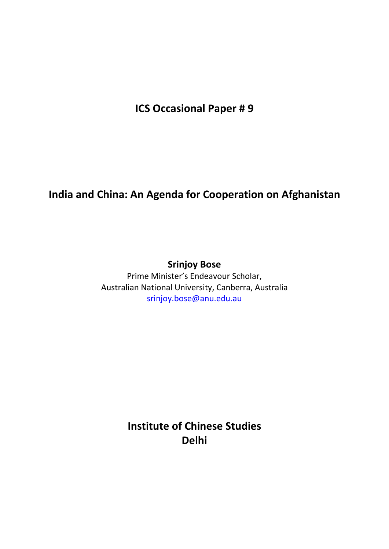**ICS Occasional Paper # 9**

## **India and China: An Agenda for Cooperation on Afghanistan**

## **Srinjoy Bose**

Prime Minister's Endeavour Scholar, Australian National University, Canberra, Australia [srinjoy.bose@anu.edu.au](mailto:srinjoy.bose@anu.edu.au)

> **Institute of Chinese Studies Delhi**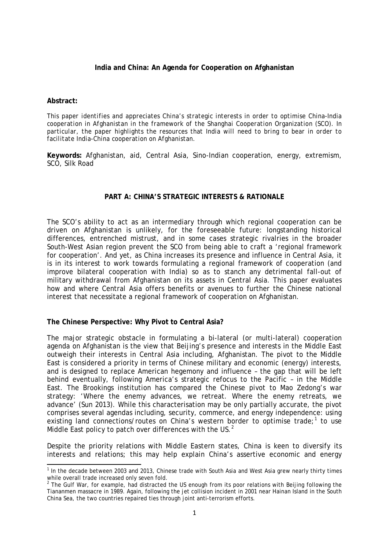#### **India and China: An Agenda for Cooperation on Afghanistan**

#### **Abstract:**

*This paper identifies and appreciates China's strategic interests in order to optimise China-India cooperation in Afghanistan in the framework of the Shanghai Cooperation Organization (SCO). In particular, the paper highlights the resources that India will need to bring to bear in order to facilitate India-China cooperation on Afghanistan.*

**Keywords:** Afghanistan, aid, Central Asia, Sino-Indian cooperation, energy, extremism, SCO, Silk Road

#### **PART A: CHINA'S STRATEGIC INTERESTS & RATIONALE**

The SCO's ability to act as an intermediary through which regional cooperation can be driven on Afghanistan is unlikely, for the foreseeable future: longstanding historical differences, entrenched mistrust, and in some cases strategic rivalries in the broader South-West Asian region prevent the SCO from being able to craft a 'regional framework for cooperation'. And yet, as China increases its presence and influence in Central Asia, it is in its interest to work towards formulating a regional framework of cooperation (and improve bilateral cooperation with India) so as to stanch any detrimental fall-out of military withdrawal from Afghanistan on its assets in Central Asia. This paper evaluates how and where Central Asia offers benefits or avenues to further the Chinese national interest that necessitate a regional framework of cooperation on Afghanistan.

#### **The Chinese Perspective: Why Pivot to Central Asia?**

The major strategic obstacle in formulating a bi-lateral (or multi-lateral) cooperation agenda on Afghanistan is the view that Beijing's presence and interests in the Middle East outweigh their interests in Central Asia including, Afghanistan. The pivot to the Middle East is considered a priority in terms of Chinese military and economic (energy) interests, and is designed to replace American hegemony and influence – the gap that will be left behind eventually, following America's strategic refocus to the Pacific – in the Middle East. The Brookings institution has compared the Chinese pivot to Mao Zedong's war strategy: 'Where the enemy advances, we retreat. Where the enemy retreats, we advance' (Sun 2013). While this characterisation may be only partially accurate, the pivot comprises several agendas including, security, commerce, and energy independence: using existing land connections/routes on China's western border to optimise trade;<sup>[1](#page-3-0)</sup> to use Middle East policy to patch over differences with the US. $<sup>2</sup>$  $<sup>2</sup>$  $<sup>2</sup>$ </sup>

Despite the priority relations with Middle Eastern states, China is keen to diversify its interests and relations; this may help explain China's assertive economic and energy

<span id="page-3-0"></span><sup>&</sup>lt;sup>1</sup> In the decade between 2003 and 2013, Chinese trade with South Asia and West Asia grew nearly thirty times while overall trade increased only seven fold.

<span id="page-3-1"></span> $2$  The Gulf War, for example, had distracted the US enough from its poor relations with Beijing following the Tiananmen massacre in 1989. Again, following the jet collision incident in 2001 near Hainan Island in the South China Sea, the two countries repaired ties through joint anti-terrorism efforts.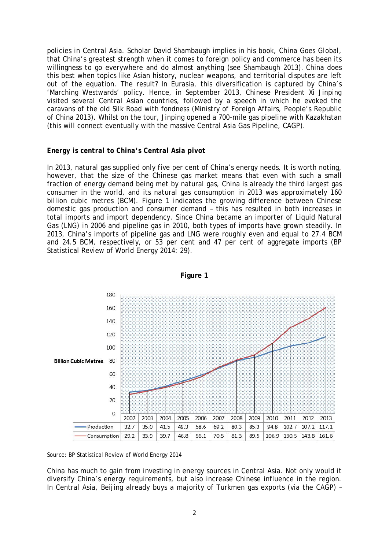policies in Central Asia. Scholar David Shambaugh implies in his book, *China Goes Global*, that China's greatest strength when it comes to foreign policy and commerce has been its willingness to go everywhere and do almost anything (see Shambaugh 2013). China does this best when topics like Asian history, nuclear weapons, and territorial disputes are left out of the equation. The result? In Eurasia, this diversification is captured by China's 'Marching Westwards' policy. Hence, in September 2013, Chinese President Xi Jinping visited several Central Asian countries, followed by a speech in which he evoked the caravans of the old Silk Road with fondness (Ministry of Foreign Affairs, People's Republic of China 2013). Whilst on the tour, Jinping opened a 700-mile gas pipeline with Kazakhstan (this will connect eventually with the massive Central Asia Gas Pipeline, CAGP).

#### *Energy is central to China's Central Asia pivot*

In 2013, natural gas supplied only five per cent of China's energy needs. It is worth noting, however, that the size of the Chinese gas market means that even with such a small fraction of energy demand being met by natural gas, China is already the third largest gas consumer in the world, and its natural gas consumption in 2013 was approximately 160 billion cubic metres (BCM). Figure 1 indicates the growing difference between Chinese domestic gas production and consumer demand – this has resulted in both increases in total imports and import dependency. Since China became an importer of Liquid Natural Gas (LNG) in 2006 and pipeline gas in 2010, both types of imports have grown steadily. In 2013, China's imports of pipeline gas and LNG were roughly even and equal to 27.4 BCM and 24.5 BCM, respectively, or 53 per cent and 47 per cent of aggregate imports (BP Statistical Review of World Energy 2014: 29).



**Figure 1**

*Source*: BP Statistical Review of World Energy 2014

China has much to gain from investing in energy sources in Central Asia. Not only would it diversify China's energy requirements, but also increase Chinese influence in the region. In Central Asia, Beijing already buys a majority of Turkmen gas exports (via the CAGP) –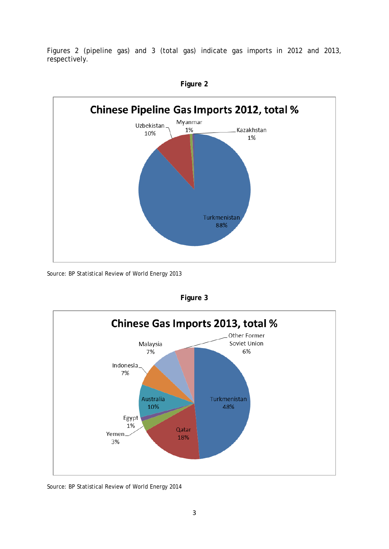Figures 2 (pipeline gas) and 3 (total gas) indicate gas imports in 2012 and 2013, respectively.



**Figure 2**

*Source*: BP Statistical Review of World Energy 2013



**Figure 3**

*Source*: BP Statistical Review of World Energy 2014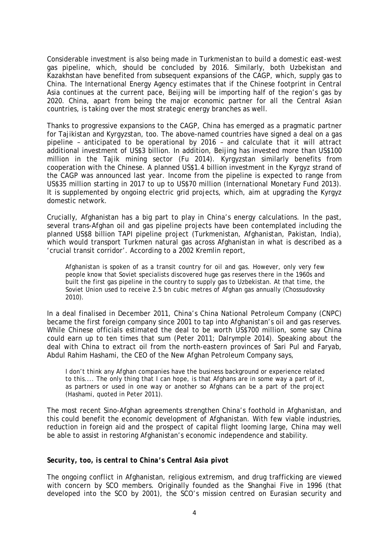Considerable investment is also being made in Turkmenistan to build a domestic east-west gas pipeline, which, should be concluded by 2016. Similarly, both Uzbekistan and Kazakhstan have benefited from subsequent expansions of the CAGP, which, supply gas to China. The International Energy Agency estimates that if the Chinese footprint in Central Asia continues at the current pace, Beijing will be importing half of the region's gas by 2020. China, apart from being the major economic partner for all the Central Asian countries, is taking over the most strategic energy branches as well.

Thanks to progressive expansions to the CAGP, China has emerged as a pragmatic partner for Tajikistan and Kyrgyzstan, too. The above-named countries have signed a deal on a gas pipeline – anticipated to be operational by 2016 – and calculate that it will attract additional investment of US\$3 billion. In addition, Beijing has invested more than US\$100 million in the Tajik mining sector (Fu 2014). Kyrgyzstan similarly benefits from cooperation with the Chinese. A planned US\$1.4 billion investment in the Kyrgyz strand of the CAGP was announced last year. Income from the pipeline is expected to range from US\$35 million starting in 2017 to up to US\$70 million (International Monetary Fund 2013). It is supplemented by ongoing electric grid projects, which, aim at upgrading the Kyrgyz domestic network.

Crucially, Afghanistan has a big part to play in China's energy calculations. In the past, several trans-Afghan oil and gas pipeline projects have been contemplated including the planned US\$8 billion TAPI pipeline project (Turkmenistan, Afghanistan, Pakistan, India), which would transport Turkmen natural gas across Afghanistan in what is described as a 'crucial transit corridor'. According to a 2002 Kremlin report,

Afghanistan is spoken of as a transit country for oil and gas. However, only very few people know that Soviet specialists discovered huge gas reserves there in the 1960s and built the first gas pipeline in the country to supply gas to Uzbekistan. At that time, the Soviet Union used to receive 2.5 bn cubic metres of Afghan gas annually (Chossudovsky 2010).

In a deal finalised in December 2011, China's China National Petroleum Company (CNPC) became the first foreign company since 2001 to tap into Afghanistan's oil and gas reserves. While Chinese officials estimated the deal to be worth US\$700 million, some say China could earn up to ten times that sum (Peter 2011; Dalrymple 2014). Speaking about the deal with China to extract oil from the north-eastern provinces of Sari Pul and Faryab, Abdul Rahim Hashami, the CEO of the New Afghan Petroleum Company says,

I don't think any Afghan companies have the business background or experience related to this.... The only thing that I can hope, is that Afghans are in some way a part of it, as partners or used in one way or another so Afghans can be a part of the project (Hashami, quoted in Peter 2011).

The most recent Sino-Afghan agreements strengthen China's foothold in Afghanistan, and this could benefit the economic development of Afghanistan. With few viable industries, reduction in foreign aid and the prospect of capital flight looming large, China may well be able to assist in restoring Afghanistan's economic independence and stability.

#### *Security, too, is central to China's Central Asia pivot*

The ongoing conflict in Afghanistan, religious extremism, and drug trafficking are viewed with concern by SCO members. Originally founded as the Shanghai Five in 1996 (that developed into the SCO by 2001), the SCO's mission centred on Eurasian security and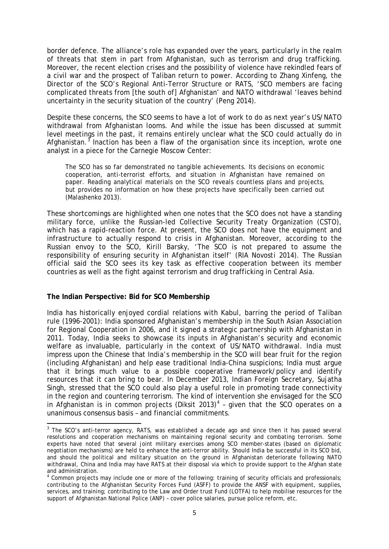border defence. The alliance's role has expanded over the years, particularly in the realm of threats that stem in part from Afghanistan, such as terrorism and drug trafficking. Moreover, the recent election crises and the possibility of violence have rekindled fears of a civil war and the prospect of Taliban return to power. According to Zhang Xinfeng, the Director of the SCO's Regional Anti-Terror Structure or RATS, 'SCO members are facing complicated threats from [the south of] Afghanistan' and NATO withdrawal 'leaves behind uncertainty in the security situation of the country' (Peng 2014).

Despite these concerns, the SCO seems to have a lot of work to do as next year's US/NATO withdrawal from Afghanistan looms. And while the issue has been discussed at summit level meetings in the past, it remains entirely unclear what the SCO could actually do in Afghanistan.<sup>[3](#page-7-0)</sup> Inaction has been a flaw of the organisation since its inception, wrote one analyst in a piece for the Carnegie Moscow Center:

The SCO has so far demonstrated no tangible achievements. Its decisions on economic cooperation, anti-terrorist efforts, and situation in Afghanistan have remained on paper. Reading analytical materials on the SCO reveals countless plans and projects, but provides no information on how these projects have specifically been carried out (Malashenko 2013).

These shortcomings are highlighted when one notes that the SCO does not have a standing military force, unlike the Russian-led Collective Security Treaty Organization (CSTO), which has a rapid-reaction force. At present, the SCO does not have the equipment and infrastructure to actually respond to crisis in Afghanistan. Moreover, according to the Russian envoy to the SCO, Kirill Barsky, 'The SCO is not prepared to assume the responsibility of ensuring security in Afghanistan itself' (*RIA Novosti* 2014). The Russian official said the SCO sees its key task as effective cooperation between its member countries as well as the fight against terrorism and drug trafficking in Central Asia.

#### **The Indian Perspective: Bid for SCO Membership**

India has historically enjoyed cordial relations with Kabul, barring the period of Taliban rule (1996-2001): India sponsored Afghanistan's membership in the South Asian Association for Regional Cooperation in 2006, and it signed a strategic partnership with Afghanistan in 2011. Today, India seeks to showcase its inputs in Afghanistan's security and economic welfare as invaluable, particularly in the context of US/NATO withdrawal. India must impress upon the Chinese that India's membership in the SCO will bear fruit for the region (including Afghanistan) and help ease traditional India-China suspicions; India must argue that it brings much value to a possible cooperative framework/policy and identify resources that it can bring to bear. In December 2013, Indian Foreign Secretary, Sujatha Singh, stressed that the SCO could also play a useful role in promoting trade connectivity in the region and countering terrorism. The kind of intervention she envisaged for the SCO in Afghanistan is in common projects (Diksit 2013)<sup>[4](#page-7-1)</sup> - given that the SCO operates on a unanimous consensus basis – and financial commitments.

<span id="page-7-0"></span><sup>&</sup>lt;sup>3</sup> The SCO's anti-terror agency, RATS, was established a decade ago and since then it has passed several resolutions and cooperation mechanisms on maintaining regional security and combating terrorism. Some experts have noted that several joint military exercises among SCO member-states (based on diplomatic negotiation mechanisms) are held to enhance the anti-terror ability. Should India be successful in its SCO bid, and should the political and military situation on the ground in Afghanistan deteriorate following NATO withdrawal, China and India may have RATS at their disposal via which to provide support to the Afghan state and administration.

<span id="page-7-1"></span><sup>4</sup> Common projects may include one or more of the following: training of security officials and professionals; contributing to the Afghanistan Security Forces Fund (ASFF) to provide the ANSF with equipment, supplies, services, and training; contributing to the Law and Order trust Fund (LOTFA) to help mobilise resources for the support of Afghanistan National Police (ANP) – cover police salaries, pursue police reform, etc.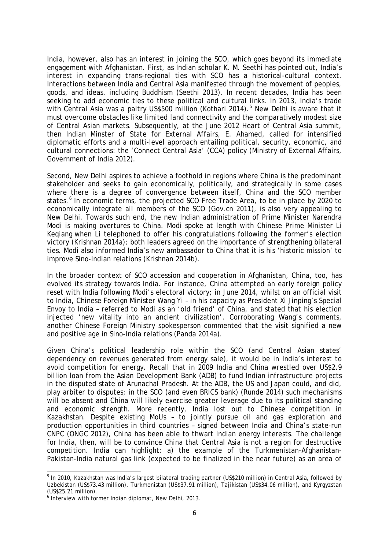India, however, also has an interest in joining the SCO, which goes beyond its immediate engagement with Afghanistan. First, as Indian scholar K. M. Seethi has pointed out, India's interest in expanding trans-regional ties with SCO has a historical-cultural context. Interactions between India and Central Asia manifested through the movement of peoples, goods, and ideas, including Buddhism (Seethi 2013). In recent decades, India has been seeking to add economic ties to these political and cultural links. In 2013, India's trade with Central Asia was a paltry US\$[5](#page-8-0)00 million (Kothari 2014).<sup>5</sup> New Delhi is aware that it must overcome obstacles like limited land connectivity and the comparatively modest size of Central Asian markets. Subsequently, at the June 2012 Heart of Central Asia summit, then Indian Minster of State for External Affairs, E. Ahamed, called for intensified diplomatic efforts and a multi-level approach entailing political, security, economic, and cultural connections: the 'Connect Central Asia' (CCA) policy (Ministry of External Affairs, Government of India 2012).

Second, New Delhi aspires to achieve a foothold in regions where China is the predominant stakeholder and seeks to gain economically, politically, and strategically in some cases where there is a degree of convergence between itself, China and the SCO member states.<sup>[6](#page-8-1)</sup> In economic terms, the projected SCO Free Trade Area, to be in place by 2020 to economically integrate all members of the SCO (*Gov.cn* 2011), is also very appealing to New Delhi. Towards such end, the new Indian administration of Prime Minister Narendra Modi is making overtures to China. Modi spoke at length with Chinese Prime Minister Li Keqiang when Li telephoned to offer his congratulations following the former's election victory (Krishnan 2014a); both leaders agreed on the importance of strengthening bilateral ties. Modi also informed India's new ambassador to China that it is his 'historic mission' to improve Sino-Indian relations (Krishnan 2014b).

In the broader context of SCO accession and cooperation in Afghanistan, China, too, has evolved its strategy towards India. For instance, China attempted an early foreign policy reset with India following Modi's electoral victory; in June 2014, whilst on an official visit to India, Chinese Foreign Minister Wang Yi – in his capacity as President Xi Jinping's Special Envoy to India – referred to Modi as an 'old friend' of China, and stated that his election injected 'new vitality into an ancient civilization'. Corroborating Wang's comments, another Chinese Foreign Ministry spokesperson commented that the visit signified a new and positive age in Sino-India relations (Panda 2014a).

Given China's political leadership role within the SCO (and Central Asian states' dependency on revenues generated from energy sale), it would be in India's interest to avoid competition for energy. Recall that in 2009 India and China wrestled over US\$2.9 billion loan from the Asian Development Bank (ADB) to fund Indian infrastructure projects in the disputed state of Arunachal Pradesh. At the ADB, the US and Japan could, and did, play arbiter to disputes; in the SCO (and even BRICS bank) (Runde 2014) such mechanisms will be absent and China will likely exercise greater leverage due to its political standing and economic strength. More recently, India lost out to Chinese competition in Kazakhstan. Despite existing MoUs – to jointly pursue oil and gas exploration and production opportunities in third countries – signed between India and China's state-run CNPC (ONGC 2012), China has been able to thwart Indian energy interests. The challenge for India, then, will be to convince China that Central Asia is *not* a region for destructive competition. India can highlight: a) the example of the Turkmenistan-Afghanistan-Pakistan-India natural gas link (expected to be finalized in the near future) as an area of

<span id="page-8-0"></span><sup>&</sup>lt;sup>5</sup> In 2010, Kazakhstan was India's largest bilateral trading partner (US\$210 million) in Central Asia, followed by Uzbekistan (US\$73.43 million), Turkmenistan (US\$37.91 million), Tajikistan (US\$34.06 million), and Kyrgyzstan  $(US$25.21 million).$ 

<span id="page-8-1"></span> $6$  Interview with former Indian diplomat, New Delhi, 2013.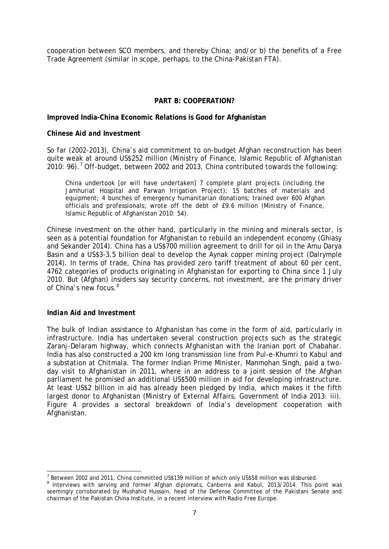cooperation between SCO members, and thereby China; and/or b) the benefits of a Free Trade Agreement (similar in scope, perhaps, to the China-Pakistan FTA).

#### **PART B: COOPERATION?**

#### **Improved India-China Economic Relations is Good for Afghanistan**

#### *Chinese Aid and Investment*

So far (2002-2013), China's aid commitment to on-budget Afghan reconstruction has been quite weak at around US\$252 million (Ministry of Finance, Islamic Republic of Afghanistan 2010: 96).<sup>[7](#page-9-0)</sup> Off-budget, between 2002 and 2013, China contributed towards the following:

China undertook [or will have undertaken] 7 complete plant projects (including the Jamhuriat Hospital and Parwan Irrigation Project); 15 batches of materials and equipment; 4 bunches of emergency humanitarian donations; trained over 600 Afghan officials and professionals; wrote off the debt of £9.6 million (Ministry of Finance, Islamic Republic of Afghanistan 2010: 54).

Chinese investment on the other hand, particularly in the mining and minerals sector, is seen as a potential foundation for Afghanistan to rebuild an independent economy (Ghiasy and Sekander 2014). China has a US\$700 million agreement to drill for oil in the Amu Darya Basin and a US\$3-3.5 billion deal to develop the Aynak copper mining project (Dalrymple 2014). In terms of trade, China has provided zero tariff treatment of about 60 per cent, 4762 categories of products originating in Afghanistan for exporting to China since 1 July 2010. But (Afghan) insiders say security concerns, not investment, are the primary driver of China's new focus.<sup>[8](#page-9-1)</sup>

#### *Indian Aid and Investment*

The bulk of Indian assistance to Afghanistan has come in the form of aid, particularly in infrastructure. India has undertaken several construction projects such as the strategic Zaranj-Delaram highway, which connects Afghanistan with the Iranian port of Chabahar. India has also constructed a 200 km long transmission line from Pul-e-Khumri to Kabul and a substation at Chitmala. The former Indian Prime Minister, Manmohan Singh, paid a twoday visit to Afghanistan in 2011, where in an address to a joint session of the Afghan parliament he promised an additional US\$500 million in aid for developing infrastructure. At least US\$2 billion in aid has already been pledged by India, which makes it the fifth largest donor to Afghanistan (Ministry of External Affairs, Government of India 2013: iii). Figure 4 provides a sectoral breakdown of India's development cooperation with Afghanistan.

<span id="page-9-0"></span>Between 2002 and 2011, China committed US\$139 million of which only US\$58 million was disbursed.

<span id="page-9-1"></span><sup>&</sup>lt;sup>8</sup> Interviews with serving and former Afghan diplomats, Canberra and Kabul, 2013/2014. This point was seemingly corroborated by Mushahid Hussain, head of the Defense Committee of the Pakistani Senate and chairman of the Pakistan China Institute, in a recent [interview](http://gandhara.rferl.org/content/article/25443331.html) with *Radio Free Europe*.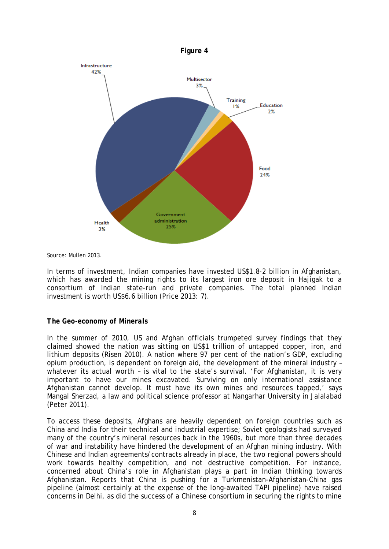



*Source*: Mullen 2013.

In terms of investment, Indian companies have invested US\$1.8-2 billion in Afghanistan, which has awarded the mining rights to its largest iron ore deposit in Hajigak to a consortium of Indian state-run and private companies. The total planned Indian investment is worth US\$6.6 billion (Price 2013: 7).

#### *The Geo-economy of Minerals*

In the summer of 2010, US and Afghan officials trumpeted survey findings that they claimed showed the nation was sitting on U[S\\$1 trillion](http://www.csmonitor.com/World/Asia-South-Central/2010/0614/What-could-1-trillion-in-mineral-wealth-mean-for-Afghanistan) of untapped copper, iron, and lithium deposits (Risen 2010). A nation where 97 per cent of the nation's GDP, excluding opium production, is dependent on foreign aid, the development of the mineral industry – whatever its actual worth - is vital to the state's survival. 'For Afghanistan, it is very important to have our mines excavated. Surviving on only international assistance Afghanistan cannot develop. It must have its own mines and resources tapped,' says Mangal Sherzad, a law and political science professor at Nangarhar University in [Jalalabad](http://www.csmonitor.com/tags/topic/Jalalabad) (Peter 2011).

To access these deposits, Afghans are heavily dependent on foreign countries such as China and India for their technical and industrial expertise; Soviet geologists had surveyed many of the country's mineral resources back in the 1960s, but more than three decades of war and instability have hindered the development of an Afghan mining industry. With Chinese and Indian agreements/contracts already in place, the two regional powers should work towards healthy competition, and not destructive competition. For instance, concerned about China's role in Afghanistan plays a part in Indian thinking towards Afghanistan. Reports that China is pushing for a Turkmenistan-Afghanistan-China gas pipeline (almost certainly at the expense of the long-awaited TAPI pipeline) have raised concerns in Delhi, as did the success of a Chinese consortium in securing the rights to mine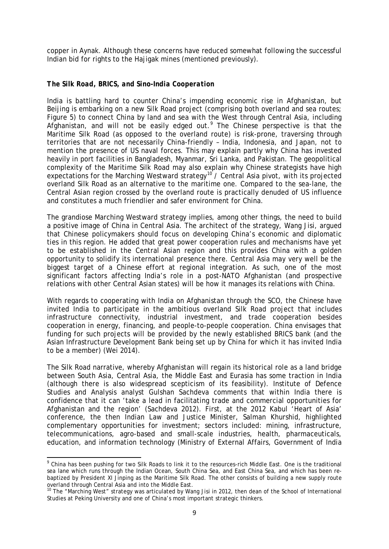copper in Aynak. Although these concerns have reduced somewhat following the successful Indian bid for rights to the Hajigak mines (mentioned previously).

#### *The Silk Road, BRICS, and Sino-India Cooperation*

India is battling hard to counter China's impending economic rise in Afghanistan, but Beijing is embarking on a new Silk Road project (comprising both overland and sea routes; Figure 5) to connect China by land and sea with the West through Central Asia, including Afghanistan, and will not be easily edged out.[9](#page-11-0) The Chinese perspective is that the Maritime Silk Road (as opposed to the overland route) is risk-prone, traversing through territories that are not necessarily China-friendly – India, Indonesia, and Japan, not to mention the presence of US naval forces. This may explain partly why China has invested heavily in port facilities in Bangladesh, Myanmar, Sri Lanka, and Pakistan. The geopolitical complexity of the Maritime Silk Road may also explain why Chinese strategists have high expectations for the Marching Westward strategy<sup>[10](#page-11-1)</sup> / Central Asia pivot, with its projected overland Silk Road as an alternative to the maritime one. Compared to the sea-lane, the Central Asian region crossed by the overland route is practically denuded of US influence and constitutes a much friendlier and safer environment for China.

The grandiose Marching Westward strategy implies, among other things, the need to [build](http://thediplomat.com/2013/10/china-courts-central-asia/)  [a positive image of China in Central Asia.](http://thediplomat.com/2013/10/china-courts-central-asia/) The architect of the strategy, Wang Jisi, argued that Chinese policymakers should focus on developing China's economic and diplomatic ties in this region. He added that great power cooperation rules and mechanisms have yet to be established in the Central Asian region and this provides China with a golden opportunity to solidify its international presence there. Central Asia may very well be the biggest target of a Chinese effort at regional integration. As such, one of the most significant factors affecting India's role in a post-NATO Afghanistan (and prospective relations with other Central Asian states) will be how it manages its relations with China.

With regards to cooperating with India on Afghanistan through the SCO, the Chinese have invited India to participate in the ambitious overland Silk Road project that includes infrastructure connectivity, industrial investment, and trade cooperation besides cooperation in energy, financing, and people-to-people cooperation. China envisages that funding for such projects will be provided by the newly established BRICS bank (and the Asian Infrastructure Development Bank being set up by China for which it has invited India to be a member) (Wei 2014).

The Silk Road narrative, whereby Afghanistan will regain its historical role as a land bridge between South Asia, Central Asia, the Middle East and Eurasia has some traction in India (although there is also widespread scepticism of its feasibility). Institute of Defence Studies and Analysis analyst Gulshan Sachdeva comments that within India there is confidence that it can 'take a lead in facilitating trade and commercial opportunities for Afghanistan and the region' (Sachdeva 2012). First, at the 2012 Kabul 'Heart of Asia' conference, the then Indian Law and Justice Minister, Salman Khurshid, highlighted complementary opportunities for investment; sectors included: mining, infrastructure, telecommunications, agro-based and small-scale industries, health, pharmaceuticals, education, and information technology (Ministry of External Affairs, Government of India

<span id="page-11-0"></span><sup>&</sup>lt;sup>9</sup> China has been pushing for two Silk Roads to link it to the resources-rich Middle East. One is the traditional sea lane which runs through the Indian Ocean, South China Sea, and East China Sea, and which has been re-baptized by President XI Jinping as the [Maritime Silk Road.](http://thediplomat.com/2014/04/courting-asia-chinas-maritime-silk-route-vs-americas-pivot/) The other consists of building a new supply route overland through Central Asia and into the Middle East.

<span id="page-11-1"></span> $10$  The "Marching West" strategy was articulated by Wang Jisi in 2012, then dean of the School of International Studies at Peking University and one of China's most important strategic thinkers.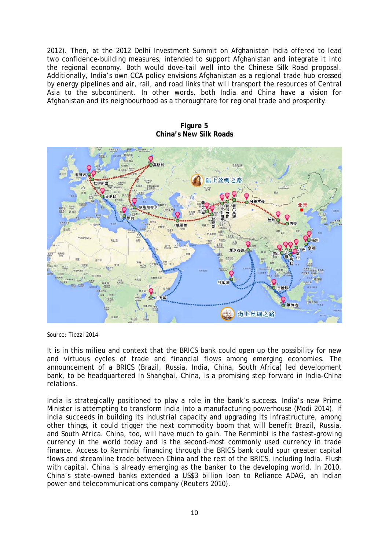2012). Then, at the 2012 Delhi Investment Summit on Afghanistan India offered to lead two confidence-building measures, intended to support Afghanistan and integrate it into the regional economy. Both would dove-tail well into the Chinese Silk Road proposal. Additionally, India's own CCA policy envisions Afghanistan as a regional trade hub crossed by energy pipelines and air, rail, and road links that will transport the resources of Central Asia to the subcontinent. In other words, both India and China have a vision for Afghanistan and its neighbourhood as a thoroughfare for regional trade and prosperity.



**Figure 5 China's New Silk Roads**

*Source*: Tiezzi 2014

It is in this milieu and context that the BRICS bank could open up the possibility for new and virtuous cycles of trade and financial flows among emerging economies. The announcement of a BRICS (Brazil, Russia, India, China, South Africa) led development bank, to be headquartered in Shanghai, China, is a promising step forward in India-China relations.

India is strategically positioned to play a role in the bank's success. India's new Prime Minister is attempting to transform India into a manufacturing powerhouse (Modi 2014). If India succeeds in building its industrial capacity and upgrading its infrastructure, among other things, it could trigger the next commodity boom that will benefit Brazil, Russia, and South Africa. China, too, will have much to gain. The Renminbi is the fastest-growing currency in the world today and is the [second-most commonly used currency in trade](http://blog.jpmorganinstitutional.com/2014/07/shifting-tides-of-liquidity/?utm_source=rss&utm_medium=rss&utm_campaign=shifting-tides-of-liquidity)  [finance.](http://blog.jpmorganinstitutional.com/2014/07/shifting-tides-of-liquidity/?utm_source=rss&utm_medium=rss&utm_campaign=shifting-tides-of-liquidity) Access to Renminbi financing through the BRICS bank could spur greater capital flows and streamline trade between China and the rest of the BRICS, including India. Flush with capital, China is already emerging as the banker to the developing world. In 2010, China's state-owned banks extended a US\$3 billion loan to Reliance ADAG, an Indian power and telecommunications company (*Reuters* 2010).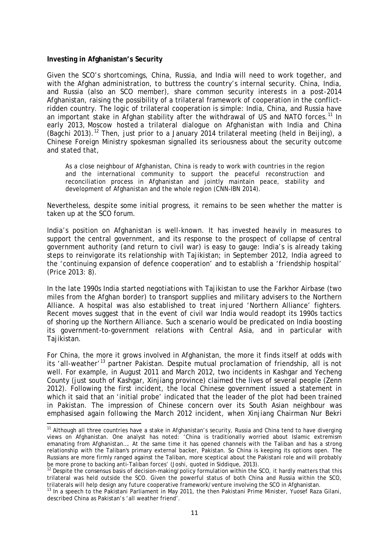#### **Investing in Afghanistan's Security**

Given the SCO's shortcomings, China, Russia, and India will need to work together, and with the Afghan administration, to buttress the country's internal security. China, India, and Russia (also an SCO member), share common security interests in a post-2014 Afghanistan, raising the possibility of a trilateral framework of cooperation in the conflictridden country. The logic of trilateral cooperation is simple: India, China, and Russia have an important stake in Afghan stability after the withdrawal of US and NATO forces.<sup>[11](#page-13-0)</sup> In early 2013, Moscow hosted a trilateral dialogue on Afghanistan with India and China (Bagchi 2013).<sup>[12](#page-13-1)</sup> Then, just prior to a January 2014 trilateral meeting (held in Beijing), a Chinese Foreign Ministry spokesman signalled its seriousness about the security outcome and stated that,

As a close neighbour of Afghanistan, China is ready to work with countries in the region and the international community to support the peaceful reconstruction and reconciliation process in Afghanistan and jointly maintain peace, stability and development of Afghanistan and the whole region (*CNN-IBN* 2014).

Nevertheless, despite some initial progress, it remains to be seen whether the matter is taken up at the SCO forum.

India's position on Afghanistan is well-known. It has invested heavily in measures to support the central government, and its response to the prospect of collapse of central government authority (and return to civil war) is easy to gauge: India's is already taking steps to reinvigorate its relationship with Tajikistan; in September 2012, India agreed to the 'continuing expansion of defence cooperation' and to establish a 'friendship hospital' (Price 2013: 8).

In the late 1990s India started negotiations with Tajikistan to use the Farkhor Airbase (two miles from the Afghan border) to transport supplies and military advisers to the Northern Alliance. A hospital was also established to treat injured 'Northern Alliance' fighters. Recent moves suggest that in the event of civil war India would readopt its 1990s tactics of shoring up the Northern Alliance. Such a scenario would be predicated on India boosting its government-to-government relations with Central Asia, and in particular with Tajikistan.

For China, the more it grows involved in Afghanistan, the more it finds itself at odds with its 'all-weather'<sup>[13](#page-13-2)</sup> partner Pakistan. Despite mutual proclamation of friendship, all is not which it said that an '[initial probe](http://www.jamestown.org/single/?no_cache=1&tx_ttnews%5btt_news%5d=39289)' indicated that the leader of the plot had been trained well. For example, in August 2011 and March 2012, two incidents in Kashgar and Yecheng County (just south of Kashgar, Xinjiang province) claimed the lives of several people (Zenn 2012). Following the first incident, the local Chinese government issued a statement in in Pakistan. The impression of Chinese concern over its South Asian neighbour was emphasised again following the March 2012 incident, when [Xinjiang Chairman Nur Bekri](http://articles.timesofindia.indiatimes.com/2012-03-08/china/31135336_1_activists-and-terrorists-asif-ali-zardari-pakistan) 

<span id="page-13-0"></span><sup>&</sup>lt;sup>11</sup> Although all three countries have a stake in Afghanistan's security, Russia and China tend to have diverging views on Afghanistan. One analyst has noted: 'China is traditionally worried about Islamic extremism emanating from Afghanistan…. At the same time it has opened channels with the Taliban and has a strong relationship with the Taliban's primary external backer, Pakistan. So China is keeping its options open. The Russians are more firmly ranged against the Taliban, more sceptical about the Pakistani role and will probably<br>be more prone to backing anti-Taliban forces' (Joshi, quoted in Siddique, 2013).

<span id="page-13-1"></span><sup>&</sup>lt;sup>12</sup> Despite the consensus basis of decision-making/policy formulation within the SCO, it hardly matters that this trilateral was held outside the SCO. Given the powerful status of both China and Russia within the SCO, trilaterals will help design any future cooperative framework/venture involving the SCO in Afghanistan.

<span id="page-13-2"></span><sup>&</sup>lt;sup>13</sup> In a speech to the Pakistani Parliament in May 2011, the then Pakistani Prime Minister, Yuosef Raza Gilani, described China as Pakistan's 'all weather friend'.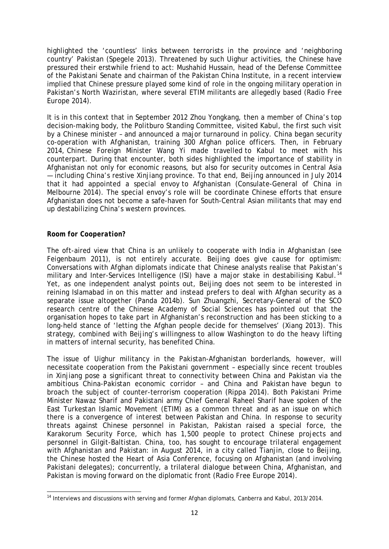highlighted the 'countless' links between terrorists in the province and 'neighboring country' Pakistan (Spegele 2013). Threatened by such Uighur activities, the Chinese have pressured their erstwhile friend to act: Mushahid Hussain, head of the Defense Committee of the Pakistani Senate and chairman of the Pakistan China Institute, in a recent [interview](http://gandhara.rferl.org/content/article/25443331.html) implied that Chinese pressure played some kind of role in the ongoing military operation in Pakistan's North Waziristan, where several ETIM militants are allegedly based (*Radio Free Europe* 2014).

It is in this context that in September 2012 [Zhou Yongkang,](http://www.scmp.com/comment/article/1450790/zhou-yongkang-case-set-expose-scale-rot-chinas-elite-politics) then a member of China's top decision-making body, the Politburo Standing Committee, visited Kabul, the first such visit by a Chinese minister – and announced a major turnaround in policy. China began security co-operation with Afghanistan, training 300 Afghan police officers. Then, in February 2014, Chinese Foreign Minister Wang Yi made travelled to Kabul to meet with his counterpart. During that encounter, both sides highlighted the importance of stability in Afghanistan not only for economic reasons, but also for security outcomes in Central Asia — including China's restive Xinjiang province. To that end, Beijing announced in July 2014 that it had appointed a special envoy to Afghanistan (Consulate-General of China in Melbourne 2014). The special envoy's role will be coordinate Chinese efforts that ensure Afghanistan does not become a safe-haven for South-Central Asian militants that may end up destabilizing China's western provinces.

#### *Room for Cooperation?*

The oft-aired view that China is an unlikely to cooperate with India in Afghanistan (see Feigenbaum 2011), is not entirely accurate. Beijing does give cause for optimism: Conversations with Afghan diplomats indicate that Chinese analysts realise that Pakistan's military and Inter-Services Intelligence (ISI) have a major stake in destabilising Kabul.<sup>[14](#page-14-0)</sup> Yet, as one independent analyst points out, Beijing does not seem to be interested in reining Islamabad in on this matter and instead prefers to deal with Afghan security as a separate issue altogether (Panda 2014b). Sun Zhuangzhi, Secretary-General of the SCO research centre of the Chinese Academy of Social Sciences has pointed out that the organisation hopes to take part in Afghanistan's reconstruction and has been sticking to a long-held stance of 'letting the Afghan people decide for themselves' (Xiang 2013). This strategy, combined with Beijing's willingness to allow Washington to do the heavy lifting in matters of internal security, has benefited China.

The issue of Uighur militancy in the Pakistan-Afghanistan borderlands, however, will necessitate cooperation from the Pakistani government – especially since recent troubles in Xinjiang pose a significant threat to connectivity between China and Pakistan via the ambitious China-Pakistan economic corridor – and China and Pakistan have begun to broach the subject of counter-terrorism cooperation (Rippa 2014). Both Pakistani Prime Minister Nawaz Sharif and Pakistani army Chief General Raheel Sharif have spoken of the East Turkestan Islamic Movement (ETIM) as a *common threat* and as an issue on which there is a *convergence of interest* between Pakistan and China. In response to security threats against Chinese personnel in Pakistan, Pakistan raised a special force, the Karakorum Security Force, which has 1,500 people to protect Chinese projects and personnel in Gilgit-Baltistan. China, too, has sought to encourage trilateral engagement with Afghanistan and Pakistan: in August 2014, in a city called Tianjin, close to Beijing, the Chinese hosted the Heart of Asia Conference, focusing on Afghanistan (and involving Pakistani delegates); concurrently, a trilateral dialogue between China, Afghanistan, and Pakistan is moving forward on the diplomatic front (*Radio Free Europe* 2014).

<span id="page-14-0"></span><sup>&</sup>lt;sup>14</sup> Interviews and discussions with serving and former Afghan diplomats, Canberra and Kabul, 2013/2014.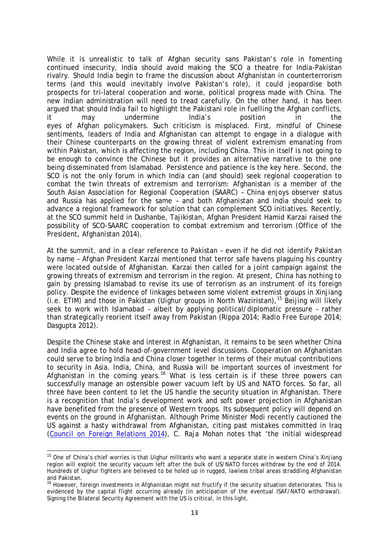While it is unrealistic to talk of Afghan security sans Pakistan's role in fomenting continued insecurity, India should avoid making the SCO a theatre for India-Pakistan rivalry. Should India begin to frame the discussion about Afghanistan in counterterrorism terms (and this would inevitably involve Pakistan's role), it could jeopardise both prospects for tri-lateral cooperation and worse, political progress made with China. The new Indian administration will need to tread carefully. On the other hand, it has been argued that should India fail to highlight the Pakistani role in fuelling the Afghan conflicts, it may undermine India's position in the eyes of Afghan policymakers. Such criticism is misplaced. First, mindful of Chinese sentiments, leaders of India and Afghanistan can attempt to engage in a dialogue with their Chinese counterparts on the growing threat of violent extremism emanating from within Pakistan, which is affecting the region, including China. This in itself is not going to be enough to convince the Chinese but it provides an alternative narrative to the one being disseminated from Islamabad. Persistence and patience is the key here. Second, the SCO is not the only forum in which India can (and should) seek regional cooperation to combat the twin threats of extremism and terrorism: Afghanistan is a member of the South Asian Association for Regional Cooperation (SAARC) – China enjoys observer status and Russia has applied for the same – and both Afghanistan and India should seek to advance a regional framework for solution that can complement SCO initiatives. Recently, at the SCO summit held in Dushanbe, Tajikistan, Afghan President Hamid Karzai raised the possibility of SCO-SAARC cooperation to combat extremism and terrorism (Office of the President, Afghanistan 2014).

At the summit, and in a clear reference to Pakistan – even if he did not identify Pakistan by name – Afghan President Karzai mentioned that terror safe havens plaguing his country were located *outside* of Afghanistan. Karzai then called for a joint campaign against the growing threats of extremism and terrorism in the region. At present, China has nothing to gain by pressing Islamabad to revise its use of terrorism as an instrument of its foreign policy. Despite the evidence of linkages between some violent extremist groups in Xinjiang  $(i.e.$  ETIM) and those in Pakistan (Uighur groups in North Waziristan),  $15$  Beijing will likely seek to work *with* Islamabad – albeit by applying political/diplomatic pressure – rather than strategically reorient itself away from Pakistan (Rippa 2014; *Radio Free Europe* 2014; Dasgupta 2012).

Despite the Chinese stake and interest in Afghanistan, it remains to be seen whether China and India agree to hold head-of-government level discussions. Cooperation on Afghanistan could serve to bring India and China closer together in terms of their mutual contributions to security in Asia. India, China, and Russia will be important sources of investment for Afghanistan in the coming years.<sup>[16](#page-15-1)</sup> What is less certain is if these three powers can successfully manage an ostensible power vacuum left by US and NATO forces. So far, all three have been content to let the US handle the security situation in Afghanistan. There is a recognition that India's development work and soft power projection in Afghanistan have benefited from the presence of Western troops. Its subsequent policy will depend on events on the ground in Afghanistan. Although Prime Minister Modi recently cautioned the US against a hasty withdrawal from Afghanistan, citing past mistakes committed in Iraq [\(Council on Foreign Relations 2014\)](http://www.cfr.org/india/conversation-narendra-modi/p33518), C. Raja Mohan notes that 'the initial widespread

<span id="page-15-0"></span><sup>&</sup>lt;sup>15</sup> One of China's chief worries is that Uighur militants who want a separate state in western China's Xinjiang region will exploit the security vacuum left after the bulk of US/NATO forces withdraw by the end of 2014. Hundreds of Uighur fighters are believed to be holed up in rugged, lawless tribal areas straddling Afghanistan

<span id="page-15-1"></span>and [Pakistan.](http://www.reuters.com/places/pakistan?lc=int_mb_1001)<br><sup>16</sup> However, foreign investments in Afghanistan might not fructify if the security situation deteriorates. This is evidenced by the capital flight occurring already (in anticipation of the eventual ISAF/NATO withdrawal). Signing the Bilateral Security Agreement with the US is critical, in this light.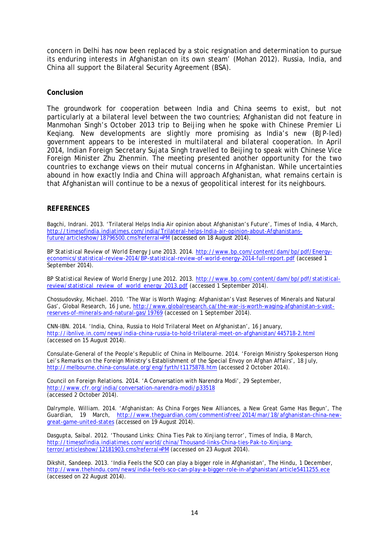concern in Delhi has now been replaced by a stoic resignation and determination to pursue its enduring interests in Afghanistan on its own steam' (Mohan 2012). Russia, India, and China all support the Bilateral Security Agreement (BSA).

#### **Conclusion**

The groundwork for cooperation between India and China seems to exist, but not particularly at a bilateral level between the two countries; Afghanistan did not feature in Manmohan Singh's October 2013 trip to Beijing when he spoke with Chinese Premier Li Keqiang. New developments are slightly more promising as India's new (BJP-led) government appears to be interested in multilateral and bilateral cooperation. In April 2014, Indian Foreign Secretary Sujata Singh [travelled to Beijing](http://ibnlive.in.com/news/india-china-set-to-hold-strategic-dialogue-on-monday/464785-3.html) to speak with Chinese Vice Foreign Minister Zhu Zhenmin. The meeting presented another opportunity for the two countries to exchange views on their mutual concerns in Afghanistan. While uncertainties abound in how exactly India and China will approach Afghanistan, what remains certain is that Afghanistan will continue to be a nexus of geopolitical interest for its neighbours.

#### **REFERENCES**

Bagchi, Indrani. 2013. 'Trilateral Helps India Air opinion about Afghanistan's Future', *Times of India*, 4 March, [http://timesofindia.indiatimes.com/india/Trilateral-helps-India-air-opinion-about-Afghanistans](http://timesofindia.indiatimes.com/india/Trilateral-helps-India-air-opinion-about-Afghanistans-future/articleshow/18796500.cms?referral=PM)[future/articleshow/18796500.cms?referral=PM](http://timesofindia.indiatimes.com/india/Trilateral-helps-India-air-opinion-about-Afghanistans-future/articleshow/18796500.cms?referral=PM) (accessed on 18 August 2014).

*BP Statistical Review of World Energy June 2013*. 2014. [http://www.bp.com/content/dam/bp/pdf/Energy](http://www.bp.com/content/dam/bp/pdf/Energy-economics/statistical-review-2014/BP-statistical-review-of-world-energy-2014-full-report.pdf)[economics/statistical-review-2014/BP-statistical-review-of-world-energy-2014-full-report.pdf](http://www.bp.com/content/dam/bp/pdf/Energy-economics/statistical-review-2014/BP-statistical-review-of-world-energy-2014-full-report.pdf) (accessed 1 September 2014).

*BP Statistical Review of World Energy June 2012*. 2013. [http://www.bp.com/content/dam/bp/pdf/statistical](http://www.bp.com/content/dam/bp/pdf/statistical-review/statistical_review_of_world_energy_2013.pdf)[review/statistical\\_review\\_of\\_world\\_energy\\_2013.pdf](http://www.bp.com/content/dam/bp/pdf/statistical-review/statistical_review_of_world_energy_2013.pdf) (accessed 1 September 2014).

Chossudovsky, Michael. 2010. 'The War is Worth Waging: Afghanistan's Vast Reserves of Minerals and Natural Gas', Global Research, 16 June, [http://www.globalresearch.ca/the-war-is-worth-waging-afghanistan-s-vast](http://www.globalresearch.ca/the-war-is-worth-waging-afghanistan-s-vast-reserves-of-minerals-and-natural-gas/19769)[reserves-of-minerals-and-natural-gas/19769](http://www.globalresearch.ca/the-war-is-worth-waging-afghanistan-s-vast-reserves-of-minerals-and-natural-gas/19769) (accessed on 1 September 2014).

*CNN-IBN*. 2014. 'India, China, Russia to Hold Trilateral Meet on Afghanistan', 16 January, <http://ibnlive.in.com/news/india-china-russia-to-hold-trilateral-meet-on-afghanistan/445718-2.html> (accessed on 15 August 2014).

Consulate-General of the People's Republic of China in Melbourne. 2014. 'Foreign Ministry Spokesperson Hong Lei's Remarks on the Foreign Ministry's Establishment of the Special Envoy on Afghan Affairs', 18 July, <http://melbourne.china-consulate.org/eng/fyrth/t1175878.htm> (accessed 2 October 2014).

Council on Foreign Relations. 2014. 'A Conversation with Narendra Modi', 29 September, <http://www.cfr.org/india/conversation-narendra-modi/p33518> (accessed 2 October 2014).

Dalrymple, William. 2014. 'Afghanistan: As China Forges New Alliances, a New Great Game Has Begun', *The Guardian*, 19 March, [http://www.theguardian.com/commentisfree/2014/mar/18/afghanistan-china-new](http://www.theguardian.com/commentisfree/2014/mar/18/afghanistan-china-new-great-game-united-states)[great-game-united-states](http://www.theguardian.com/commentisfree/2014/mar/18/afghanistan-china-new-great-game-united-states) (accessed on 19 August 2014).

Dasgupta, Saibal. 2012. 'Thousand Links: China Ties Pak to Xinjiang terror', *Times of India*, 8 March, [http://timesofindia.indiatimes.com/world/china/Thousand-links-China-ties-Pak-to-Xinjiang](http://timesofindia.indiatimes.com/world/china/Thousand-links-China-ties-Pak-to-Xinjiang-terror/articleshow/12181903.cms?referral=PM)[terror/articleshow/12181903.cms?referral=PM](http://timesofindia.indiatimes.com/world/china/Thousand-links-China-ties-Pak-to-Xinjiang-terror/articleshow/12181903.cms?referral=PM) (accessed on 23 August 2014).

Dikshit, Sandeep. 2013. 'India Feels the SCO can play a bigger role in Afghanistan', *The Hindu*, 1 December, <http://www.thehindu.com/news/india-feels-sco-can-play-a-bigger-role-in-afghanistan/article5411255.ece> (accessed on 22 August 2014).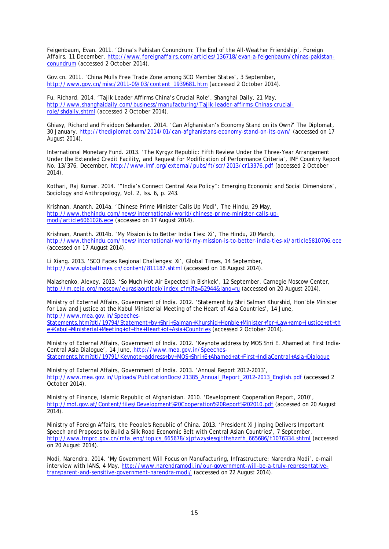Feigenbaum, Evan. 2011. 'China's Pakistan Conundrum: The End of the All-Weather Friendship', *Foreign Affairs*, 11 December, [http://www.foreignaffairs.com/articles/136718/evan-a-feigenbaum/chinas-pakistan](http://www.foreignaffairs.com/articles/136718/evan-a-feigenbaum/chinas-pakistan-conundrum)[conundrum](http://www.foreignaffairs.com/articles/136718/evan-a-feigenbaum/chinas-pakistan-conundrum) (accessed 2 October 2014).

*Gov.cn*. 2011. 'China Mulls Free Trade Zone among SCO Member States', 3 September, [http://www.gov.cn/misc/2011-09/03/content\\_1939681.htm](http://www.gov.cn/misc/2011-09/03/content_1939681.htm) (accessed 2 October 2014).

Fu, Richard. 2014. 'Tajik Leader Affirms China's Crucial Role', *Shanghai Daily*, 21 May, [http://www.shanghaidaily.com/business/manufacturing/Tajik-leader-affirms-Chinas-crucial](http://www.shanghaidaily.com/business/manufacturing/Tajik-leader-affirms-Chinas-crucial-role/shdaily.shtml)[role/shdaily.shtml](http://www.shanghaidaily.com/business/manufacturing/Tajik-leader-affirms-Chinas-crucial-role/shdaily.shtml) (accessed 2 October 2014).

Ghiasy, Richard and Fraidoon Sekander. 2014. 'Can Afghanistan's Economy Stand on its Own?' *The Diplomat*, 30 January, <http://thediplomat.com/2014/01/can-afghanistans-economy-stand-on-its-own/> (accessed on 17 August 2014).

International Monetary Fund. 2013. 'The Kyrgyz Republic: Fifth Review Under the Three-Year Arrangement Under the Extended Credit Facility, and Request for Modification of Performance Criteria', IMF Country Report No. 13/376, December,<http://www.imf.org/external/pubs/ft/scr/2013/cr13376.pdf> (accessed 2 October 2014).

Kothari, Raj Kumar. 2014. '"India's Connect Central Asia Policy": Emerging Economic and Social Dimensions', *Sociology and Anthropology*, Vol. 2, Iss. 6, p. 243.

Krishnan, Ananth. 2014a. 'Chinese Prime Minister Calls Up Modi', *The Hindu*, 29 May, [http://www.thehindu.com/news/international/world/chinese-prime-minister-calls-up](http://www.thehindu.com/news/international/world/chinese-prime-minister-calls-up-modi/article6061026.ece)[modi/article6061026.ece](http://www.thehindu.com/news/international/world/chinese-prime-minister-calls-up-modi/article6061026.ece) (accessed on 17 August 2014).

Krishnan, Ananth. 2014b. 'My Mission is to Better India Ties: Xi', *The Hindu*, 20 March, <http://www.thehindu.com/news/international/world/my-mission-is-to-better-india-ties-xi/article5810706.ece> (accessed on 17 August 2014).

Li Xiang. 2013. 'SCO Faces Regional Challenges: Xi', *Global Times*, 14 September, <http://www.globaltimes.cn/content/811187.shtml> (accessed on 18 August 2014).

Malashenko, Alexey. 2013. 'So Much Hot Air Expected in Bishkek', 12 September, Carnegie Moscow Center, <http://m.ceip.org/moscow/eurasiaoutlook/index.cfm?fa=52944&lang=ru> (accessed on 20 August 2014).

Ministry of External Affairs, Government of India. 2012. 'Statement by Shri Salman Khurshid, Hon'ble Minister for Law and Justice at the Kabul Ministerial Meeting of the Heart of Asia Countries', 14 June, [http://www.mea.gov.in/Speeches-](http://www.mea.gov.in/Speeches-Statements.htm?dtl/19794/Statement+by+Shri+Salman+Khurshid+Honble+Minister+for+Law+amp+Justice+at+the+Kabul+Ministerial+Meeting+of+the+Heart+of+Asia+Countries)[Statements.htm?dtl/19794/Statement+by+Shri+Salman+Khurshid+Honble+Minister+for+Law+amp+Justice+at+th](http://www.mea.gov.in/Speeches-Statements.htm?dtl/19794/Statement+by+Shri+Salman+Khurshid+Honble+Minister+for+Law+amp+Justice+at+the+Kabul+Ministerial+Meeting+of+the+Heart+of+Asia+Countries)

[e+Kabul+Ministerial+Meeting+of+the+Heart+of+Asia+Countries](http://www.mea.gov.in/Speeches-Statements.htm?dtl/19794/Statement+by+Shri+Salman+Khurshid+Honble+Minister+for+Law+amp+Justice+at+the+Kabul+Ministerial+Meeting+of+the+Heart+of+Asia+Countries) (accessed 2 October 2014).

Ministry of External Affairs, Government of India. 2012. 'Keynote address by MOS Shri E. Ahamed at First India-Central Asia Dialogue', 14 June, [http://www.mea.gov.in/Speeches-](http://www.mea.gov.in/Speeches-Statements.htm?dtl/19791/Keynote+address+by+MOS+Shri+E+Ahamed+at+First+IndiaCentral+Asia+Dialogue)[Statements.htm?dtl/19791/Keynote+address+by+MOS+Shri+E+Ahamed+at+First+IndiaCentral+Asia+Dialogue](http://www.mea.gov.in/Speeches-Statements.htm?dtl/19791/Keynote+address+by+MOS+Shri+E+Ahamed+at+First+IndiaCentral+Asia+Dialogue)

Ministry of External Affairs, Government of India. 2013. 'Annual Report 2012-2013', [http://www.mea.gov.in/Uploads/PublicationDocs/21385\\_Annual\\_Report\\_2012-2013\\_English.pdf](http://www.mea.gov.in/Uploads/PublicationDocs/21385_Annual_Report_2012-2013_English.pdf) (accessed 2 October 2014).

Ministry of Finance, Islamic Republic of Afghanistan. 2010. 'Development Cooperation Report, 2010', <http://mof.gov.af/Content/files/Development%20Cooperation%20Report%202010.pdf> (accessed on 20 August  $2014$ ).

Ministry of Foreign Affairs, the People's Republic of China. 2013. 'President Xi Jinping Delivers Important Speech and Proposes to Build a Silk Road Economic Belt with Central Asian Countries', 7 September, [http://www.fmprc.gov.cn/mfa\\_eng/topics\\_665678/xjpfwzysiesgjtfhshzzfh\\_665686/t1076334.shtml](http://www.fmprc.gov.cn/mfa_eng/topics_665678/xjpfwzysiesgjtfhshzzfh_665686/t1076334.shtml) (accessed on 20 August 2014).

Modi, Narendra. 2014. 'My Government Will Focus on Manufacturing, Infrastructure: Narendra Modi', e-mail interview with IANS, 4 May, [http://www.narendramodi.in/our-government-will-be-a-truly-representative](http://www.narendramodi.in/our-government-will-be-a-truly-representative-transparent-and-sensitive-government-narendra-modi/)[transparent-and-sensitive-government-narendra-modi/](http://www.narendramodi.in/our-government-will-be-a-truly-representative-transparent-and-sensitive-government-narendra-modi/) (accessed on 22 August 2014).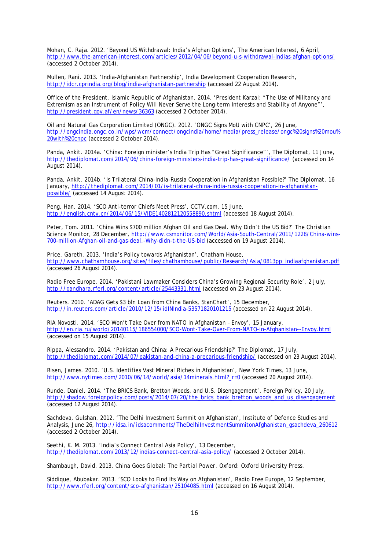Mohan, C. Raja. 2012. 'Beyond US Withdrawal: India's Afghan Options', *The American Interest*, 6 April, <http://www.the-american-interest.com/articles/2012/04/06/beyond-u-s-withdrawal-indias-afghan-options/> (accessed 2 October 2014).

Mullen, Rani. 2013. 'India-Afghanistan Partnership', India Development Cooperation Research, <http://idcr.cprindia.org/blog/india-afghanistan-partnership> (accessed 22 August 2014).

Office of the President, Islamic Republic of Afghanistan. 2014. 'President Karzai: "The Use of Militancy and Extremism as an Instrument of Policy Will Never Serve the Long-term Interests and Stability of Anyone"', <http://president.gov.af/en/news/36363> (accessed 2 October 2014).

Oil and Natural Gas Corporation Limited (ONGC). 2012. 'ONGC Signs MoU with CNPC', 26 June, [http://ongcindia.ongc.co.in/wps/wcm/connect/ongcindia/home/media/press\\_release/ongc%20signs%20mou%](http://ongcindia.ongc.co.in/wps/wcm/connect/ongcindia/home/media/press_release/ongc%20signs%20mou%20with%20cnpc) [20with%20cnpc](http://ongcindia.ongc.co.in/wps/wcm/connect/ongcindia/home/media/press_release/ongc%20signs%20mou%20with%20cnpc) (accessed 2 October 2014).

Panda, Ankit. 2014a. 'China: Foreign minister's India Trip Has "Great Significance"', *The Diplomat*, 11 June, <http://thediplomat.com/2014/06/china-foreign-ministers-india-trip-has-great-significance/> (accessed on 14 August 2014).

Panda, Ankit. 2014b. 'Is Trilateral China-India-Russia Cooperation in Afghanistan Possible?' *The Diplomat*, 16 January, [http://thediplomat.com/2014/01/is-trilateral-china-india-russia-cooperation-in-afghanistan](http://thediplomat.com/2014/01/is-trilateral-china-india-russia-cooperation-in-afghanistan-possible/)[possible/](http://thediplomat.com/2014/01/is-trilateral-china-india-russia-cooperation-in-afghanistan-possible/) (accessed 14 August 2014).

Peng, Han. 2014. 'SCO Anti-terror Chiefs Meet Press', *CCTV.com*, 15 June, <http://english.cntv.cn/2014/06/15/VIDE1402812120558890.shtml> (accessed 18 August 2014).

Peter, Tom. 2011. 'China Wins \$700 million Afghan Oil and Gas Deal. Why Didn't the US Bid?' *The Christian Science Monitor*, 28 December, [http://www.csmonitor.com/World/Asia-South-Central/2011/1228/China-wins-](http://www.csmonitor.com/World/Asia-South-Central/2011/1228/China-wins-700-million-Afghan-oil-and-gas-deal.-Why-didn-t-the-US-bid)[700-million-Afghan-oil-and-gas-deal.-Why-didn-t-the-US-bid](http://www.csmonitor.com/World/Asia-South-Central/2011/1228/China-wins-700-million-Afghan-oil-and-gas-deal.-Why-didn-t-the-US-bid) (accessed on 19 August 2014).

Price, Gareth. 2013. 'India's Policy towards Afghanistan', Chatham House, [http://www.chathamhouse.org/sites/files/chathamhouse/public/Research/Asia/0813pp\\_indiaafghanistan.pdf](http://www.chathamhouse.org/sites/files/chathamhouse/public/Research/Asia/0813pp_indiaafghanistan.pdf) (accessed 26 August 2014).

*Radio Free Europe.* 2014. 'Pakistani Lawmaker Considers China's Growing Regional Security Role', 2 July, <http://gandhara.rferl.org/content/article/25443331.html> (accessed on 23 August 2014).

*Reuters*. 2010. 'ADAG Gets \$3 bln Loan from China Banks, StanChart', 15 December, <http://in.reuters.com/article/2010/12/15/idINIndia-53571820101215> (accessed on 22 August 2014).

*RIA Novosti*. 2014. 'SCO Won't Take Over from NATO in Afghanistan – Envoy', 15 January, <http://en.ria.ru/world/20140115/186554000/SCO-Wont-Take-Over-From-NATO-in-Afghanistan--Envoy.html> (accessed on 15 August 2014).

Rippa, Alessandro. 2014. 'Pakistan and China: A Precarious Friendship?' *The Diplomat*, 17 July, <http://thediplomat.com/2014/07/pakistan-and-china-a-precarious-friendship/> (accessed on 23 August 2014).

Risen, James. 2010. 'U.S. Identifies Vast Mineral Riches in Afghanistan', *New York Times*, 13 June, [http://www.nytimes.com/2010/06/14/world/asia/14minerals.html?\\_r=0](http://www.nytimes.com/2010/06/14/world/asia/14minerals.html?_r=0) (accessed 20 August 2014).

Runde, Daniel. 2014. 'The BRICS Bank, Bretton Woods, and U.S. Disengagement', *Foreign Policy*, 20 July, [http://shadow.foreignpolicy.com/posts/2014/07/20/the\\_brics\\_bank\\_bretton\\_woods\\_and\\_us\\_disengagement](http://shadow.foreignpolicy.com/posts/2014/07/20/the_brics_bank_bretton_woods_and_us_disengagement)\_ (accessed 12 August 2014).

Sachdeva, Gulshan. 2012. 'The Delhi Investment Summit on Afghanistan', Institute of Defence Studies and Analysis, June 26, [http://idsa.in/idsacomments/TheDelhiInvestmentSummitonAfghanistan\\_gsachdeva\\_260612](http://idsa.in/idsacomments/TheDelhiInvestmentSummitonAfghanistan_gsachdeva_260612) (accessed 2 October 2014).

Seethi, K. M. 2013. 'India's Connect Central Asia Policy', 13 December, <http://thediplomat.com/2013/12/indias-connect-central-asia-policy/> (accessed 2 October 2014).

Shambaugh, David. 2013. *China Goes Global: The Partial Power*. Oxford: Oxford University Press.

Siddique, Abubakar. 2013. 'SCO Looks to Find Its Way on Afghanistan', *Radio Free Europe*, 12 September, <http://www.rferl.org/content/sco-afghanistan/25104085.html> (accessed on 16 August 2014).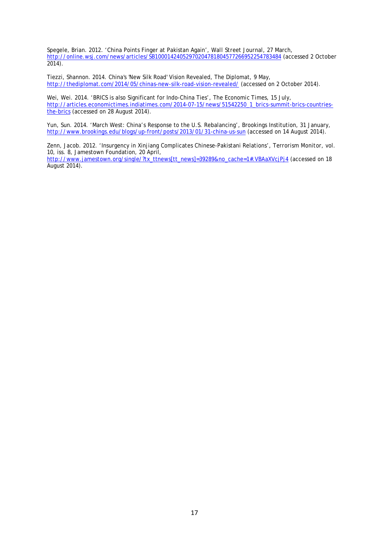Spegele, Brian. 2012. 'China Points Finger at Pakistan Again', *Wall Street Journal*, 27 March, <http://online.wsj.com/news/articles/SB10001424052970204781804577266952254783484> (accessed 2 October  $2014$ ).

Tiezzi, Shannon. 2014. China's 'New Silk Road' Vision Revealed, The Diplomat, 9 May, <http://thediplomat.com/2014/05/chinas-new-silk-road-vision-revealed/> (accessed on 2 October 2014).

Wei, Wei. 2014. 'BRICS is also Significant for Indo-China Ties', *The Economic Times*, 15 July, [http://articles.economictimes.indiatimes.com/2014-07-15/news/51542250\\_1\\_brics-summit-brics-countries](http://articles.economictimes.indiatimes.com/2014-07-15/news/51542250_1_brics-summit-brics-countries-the-brics)[the-brics](http://articles.economictimes.indiatimes.com/2014-07-15/news/51542250_1_brics-summit-brics-countries-the-brics) (accessed on 28 August 2014).

Yun, Sun. 2014. 'March West: China's Response to the U.S. Rebalancing', Brookings Institution, 31 January, <http://www.brookings.edu/blogs/up-front/posts/2013/01/31-china-us-sun> (accessed on 14 August 2014).

Zenn, Jacob. 2012. 'Insurgency in Xinjiang Complicates Chinese-Pakistani Relations', *Terrorism Monitor*, vol. 10, iss. 8, Jamestown Foundation, 20 April, [http://www.jamestown.org/single/?tx\\_ttnews\[tt\\_news\]=39289&no\\_cache=1#.VBAaXVcjPj4](http://www.jamestown.org/single/?tx_ttnews%5btt_news%5d=39289&no_cache=1#.VBAaXVcjPj4) (accessed on 18 August 2014).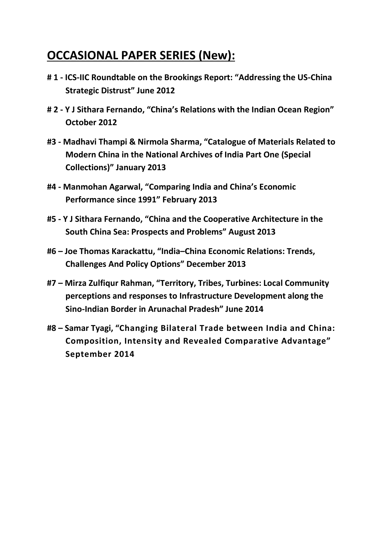## **OCCASIONAL PAPER SERIES (New):**

- **# 1 - ICS-IIC Roundtable on the Brookings Report: "Addressing the US-China Strategic Distrust" June 2012**
- **# 2 - Y J Sithara Fernando, "China's Relations with the Indian Ocean Region" October 2012**
- **#3 - Madhavi Thampi & Nirmola Sharma, "Catalogue of Materials Related to Modern China in the National Archives of India Part One (Special Collections)" January 2013**
- **#4 - Manmohan Agarwal, "Comparing India and China's Economic Performance since 1991" February 2013**
- **#5 - Y J Sithara Fernando, "China and the Cooperative Architecture in the South China Sea: Prospects and Problems" August 2013**
- **#6 – Joe Thomas Karackattu, "India–China Economic Relations: Trends, Challenges And Policy Options" December 2013**
- **#7 – Mirza Zulfiqur Rahman, "Territory, Tribes, Turbines: Local Community perceptions and responses to Infrastructure Development along the Sino-Indian Border in Arunachal Pradesh" June 2014**
- **#8 – Samar Tyagi, "Changing Bilateral Trade between India and China: Composition, Intensity and Revealed Comparative Advantage" September 2014**